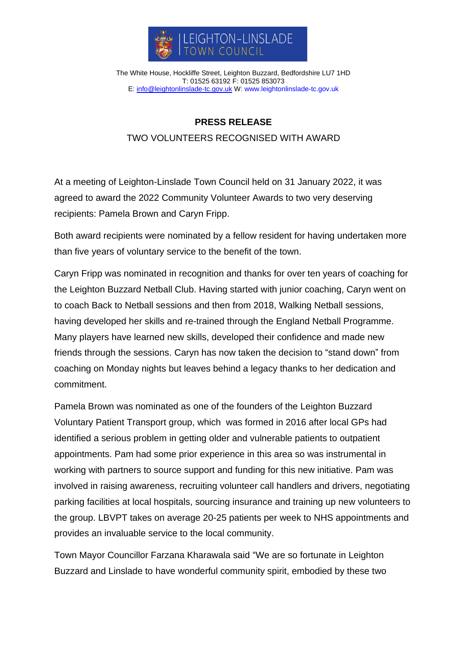

The White House, Hockliffe Street, Leighton Buzzard, Bedfordshire LU7 1HD T: 01525 63192 F: 01525 853073 E: [info@leightonlinslade-tc.gov.uk](mailto:bookings@leightonlinslade-tc.gov.uk) W: [www.leightonlinslade-tc.gov.uk](http://www.leightonlinslade-tc.gov.uk/)

## **PRESS RELEASE**

## TWO VOLUNTEERS RECOGNISED WITH AWARD

At a meeting of Leighton-Linslade Town Council held on 31 January 2022, it was agreed to award the 2022 Community Volunteer Awards to two very deserving recipients: Pamela Brown and Caryn Fripp.

Both award recipients were nominated by a fellow resident for having undertaken more than five years of voluntary service to the benefit of the town.

Caryn Fripp was nominated in recognition and thanks for over ten years of coaching for the Leighton Buzzard Netball Club. Having started with junior coaching, Caryn went on to coach Back to Netball sessions and then from 2018, Walking Netball sessions, having developed her skills and re-trained through the England Netball Programme. Many players have learned new skills, developed their confidence and made new friends through the sessions. Caryn has now taken the decision to "stand down" from coaching on Monday nights but leaves behind a legacy thanks to her dedication and commitment.

Pamela Brown was nominated as one of the founders of the Leighton Buzzard Voluntary Patient Transport group, which was formed in 2016 after local GPs had identified a serious problem in getting older and vulnerable patients to outpatient appointments. Pam had some prior experience in this area so was instrumental in working with partners to source support and funding for this new initiative. Pam was involved in raising awareness, recruiting volunteer call handlers and drivers, negotiating parking facilities at local hospitals, sourcing insurance and training up new volunteers to the group. LBVPT takes on average 20-25 patients per week to NHS appointments and provides an invaluable service to the local community.

Town Mayor Councillor Farzana Kharawala said "We are so fortunate in Leighton Buzzard and Linslade to have wonderful community spirit, embodied by these two